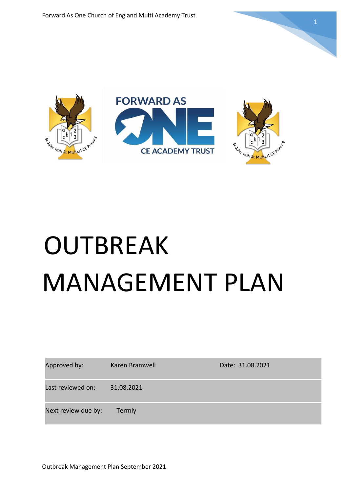

# **OUTBREAK** MANAGEMENT PLAN

| Approved by:        | Karen Bramwell | Date: 31.08.2021 |
|---------------------|----------------|------------------|
| Last reviewed on:   | 31.08.2021     |                  |
| Next review due by: | Termly         |                  |

Outbreak Management Plan September 2021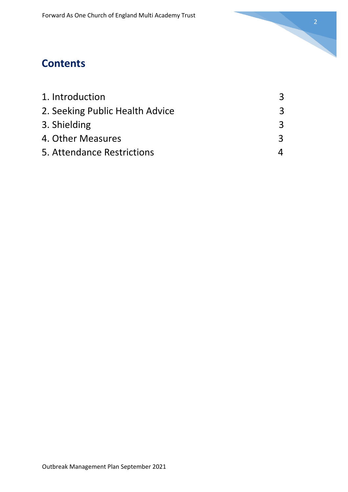

# **Contents**

| 1. Introduction                 |  |
|---------------------------------|--|
| 2. Seeking Public Health Advice |  |
| 3. Shielding                    |  |
| 4. Other Measures               |  |
| 5. Attendance Restrictions      |  |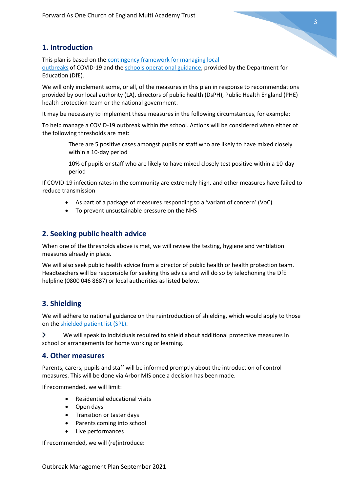# **1. Introduction**

This plan is based on the [contingency framework for managing local](https://www.gov.uk/government/publications/coronavirus-covid-19-local-restrictions-in-education-and-childcare-settings)  [outbreaks](https://www.gov.uk/government/publications/coronavirus-covid-19-local-restrictions-in-education-and-childcare-settings) of COVID-19 and the [schools operational guidance,](https://www.gov.uk/government/publications/actions-for-schools-during-the-coronavirus-outbreak) provided by the Department for Education (DfE).

We will only implement some, or all, of the measures in this plan in response to recommendations provided by our local authority (LA), directors of public health (DsPH), Public Health England (PHE) health protection team or the national government.

It may be necessary to implement these measures in the following circumstances, for example:

To help manage a COVID-19 outbreak within the school. Actions will be considered when either of the following thresholds are met:

> There are 5 positive cases amongst pupils or staff who are likely to have mixed closely within a 10-day period

10% of pupils or staff who are likely to have mixed closely test positive within a 10-day period

If COVID-19 infection rates in the community are extremely high, and other measures have failed to reduce transmission

- As part of a package of measures responding to a 'variant of concern' (VoC)
- To prevent unsustainable pressure on the NHS

# **2. Seeking public health advice**

When one of the thresholds above is met, we will review the testing, hygiene and ventilation measures already in place.

We will also seek public health advice from a director of public health or health protection team. Headteachers will be responsible for seeking this advice and will do so by telephoning the DfE helpline (0800 046 8687) or local authorities as listed below.

# **3. Shielding**

We will adhere to national guidance on the reintroduction of shielding, which would apply to those on th[e shielded patient list \(SPL\).](https://digital.nhs.uk/coronavirus/shielded-patient-list)

 $\blacktriangleright$ We will speak to individuals required to shield about additional protective measures in school or arrangements for home working or learning.

#### **4. Other measures**

Parents, carers, pupils and staff will be informed promptly about the introduction of control measures. This will be done via Arbor MIS once a decision has been made.

If recommended, we will limit:

- Residential educational visits
- Open days
- Transition or taster days
- Parents coming into school
- Live performances

If recommended, we will (re)introduce: